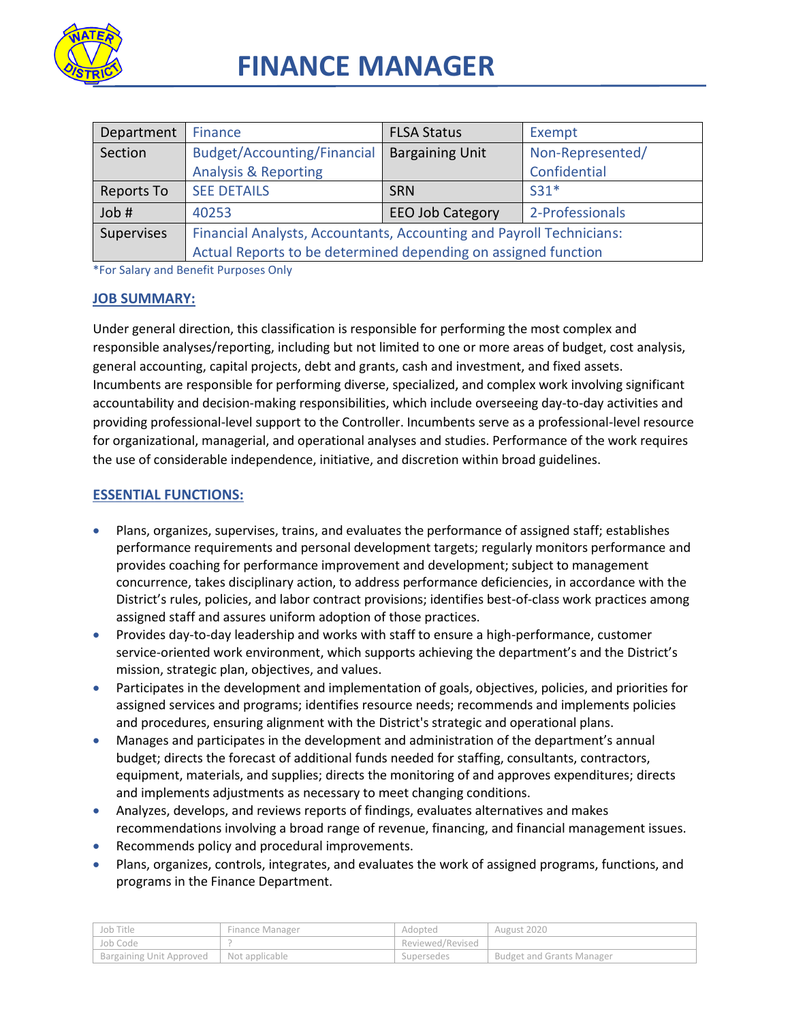

| Department | Finance                                                              | <b>FLSA Status</b>     | Exempt           |
|------------|----------------------------------------------------------------------|------------------------|------------------|
| Section    | Budget/Accounting/Financial                                          | <b>Bargaining Unit</b> | Non-Represented/ |
|            | <b>Analysis &amp; Reporting</b>                                      |                        | Confidential     |
| Reports To | <b>SEE DETAILS</b>                                                   | <b>SRN</b>             | $S31*$           |
| Job #      | 40253                                                                | 2-Professionals        |                  |
| Supervises | Financial Analysts, Accountants, Accounting and Payroll Technicians: |                        |                  |
|            | Actual Reports to be determined depending on assigned function       |                        |                  |

\*For Salary and Benefit Purposes Only

#### **JOB SUMMARY:**

Under general direction, this classification is responsible for performing the most complex and responsible analyses/reporting, including but not limited to one or more areas of budget, cost analysis, general accounting, capital projects, debt and grants, cash and investment, and fixed assets. Incumbents are responsible for performing diverse, specialized, and complex work involving significant accountability and decision-making responsibilities, which include overseeing day-to-day activities and providing professional-level support to the Controller. Incumbents serve as a professional-level resource for organizational, managerial, and operational analyses and studies. Performance of the work requires the use of considerable independence, initiative, and discretion within broad guidelines.

#### **ESSENTIAL FUNCTIONS:**

- Plans, organizes, supervises, trains, and evaluates the performance of assigned staff; establishes performance requirements and personal development targets; regularly monitors performance and provides coaching for performance improvement and development; subject to management concurrence, takes disciplinary action, to address performance deficiencies, in accordance with the District's rules, policies, and labor contract provisions; identifies best-of-class work practices among assigned staff and assures uniform adoption of those practices.
- Provides day-to-day leadership and works with staff to ensure a high-performance, customer service-oriented work environment, which supports achieving the department's and the District's mission, strategic plan, objectives, and values.
- Participates in the development and implementation of goals, objectives, policies, and priorities for assigned services and programs; identifies resource needs; recommends and implements policies and procedures, ensuring alignment with the District's strategic and operational plans.
- Manages and participates in the development and administration of the department's annual budget; directs the forecast of additional funds needed for staffing, consultants, contractors, equipment, materials, and supplies; directs the monitoring of and approves expenditures; directs and implements adjustments as necessary to meet changing conditions.
- Analyzes, develops, and reviews reports of findings, evaluates alternatives and makes recommendations involving a broad range of revenue, financing, and financial management issues.
- Recommends policy and procedural improvements.
- Plans, organizes, controls, integrates, and evaluates the work of assigned programs, functions, and programs in the Finance Department.

| Job Title                                 | Finance Manager | Adopted          | August 2020                      |
|-------------------------------------------|-----------------|------------------|----------------------------------|
| Job Code                                  |                 | Reviewed/Revised |                                  |
| Bargaining Unit Approved   Not applicable |                 | Supersedes       | <b>Budget and Grants Manager</b> |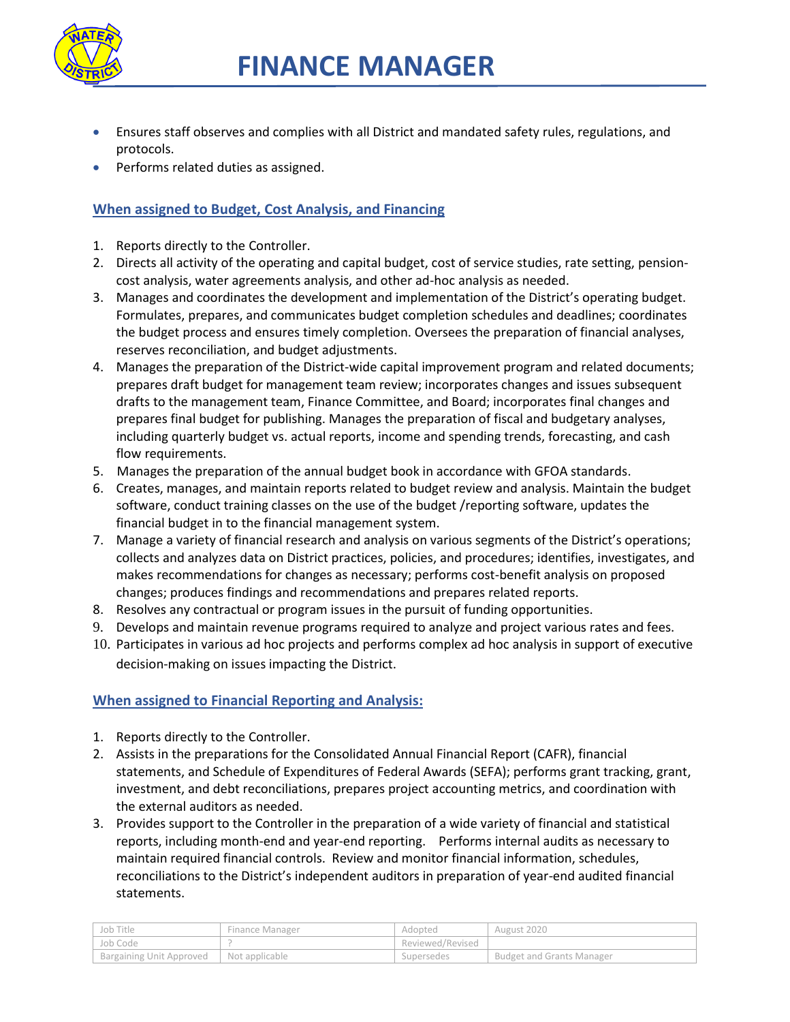

- Ensures staff observes and complies with all District and mandated safety rules, regulations, and protocols.
- Performs related duties as assigned.

## **When assigned to Budget, Cost Analysis, and Financing**

- 1. Reports directly to the Controller.
- 2. Directs all activity of the operating and capital budget, cost of service studies, rate setting, pensioncost analysis, water agreements analysis, and other ad-hoc analysis as needed.
- 3. Manages and coordinates the development and implementation of the District's operating budget. Formulates, prepares, and communicates budget completion schedules and deadlines; coordinates the budget process and ensures timely completion. Oversees the preparation of financial analyses, reserves reconciliation, and budget adjustments.
- 4. Manages the preparation of the District-wide capital improvement program and related documents; prepares draft budget for management team review; incorporates changes and issues subsequent drafts to the management team, Finance Committee, and Board; incorporates final changes and prepares final budget for publishing. Manages the preparation of fiscal and budgetary analyses, including quarterly budget vs. actual reports, income and spending trends, forecasting, and cash flow requirements.
- 5. Manages the preparation of the annual budget book in accordance with GFOA standards.
- 6. Creates, manages, and maintain reports related to budget review and analysis. Maintain the budget software, conduct training classes on the use of the budget /reporting software, updates the financial budget in to the financial management system.
- 7. Manage a variety of financial research and analysis on various segments of the District's operations; collects and analyzes data on District practices, policies, and procedures; identifies, investigates, and makes recommendations for changes as necessary; performs cost-benefit analysis on proposed changes; produces findings and recommendations and prepares related reports.
- 8. Resolves any contractual or program issues in the pursuit of funding opportunities.
- 9. Develops and maintain revenue programs required to analyze and project various rates and fees.
- 10. Participates in various ad hoc projects and performs complex ad hoc analysis in support of executive decision-making on issues impacting the District.

## **When assigned to Financial Reporting and Analysis:**

- 1. Reports directly to the Controller.
- 2. Assists in the preparations for the Consolidated Annual Financial Report (CAFR), financial statements, and Schedule of Expenditures of Federal Awards (SEFA); performs grant tracking, grant, investment, and debt reconciliations, prepares project accounting metrics, and coordination with the external auditors as needed.
- 3. Provides support to the Controller in the preparation of a wide variety of financial and statistical reports, including month-end and year-end reporting. Performs internal audits as necessary to maintain required financial controls. Review and monitor financial information, schedules, reconciliations to the District's independent auditors in preparation of year-end audited financial statements.

| Job Title                             | Finance Manager | Adopted          | August 2020                      |
|---------------------------------------|-----------------|------------------|----------------------------------|
| Job Code                              |                 | Reviewed/Revised |                                  |
| <sup>1</sup> Bargaining Unit Approved | Not applicable  | Supersedes       | <b>Budget and Grants Manager</b> |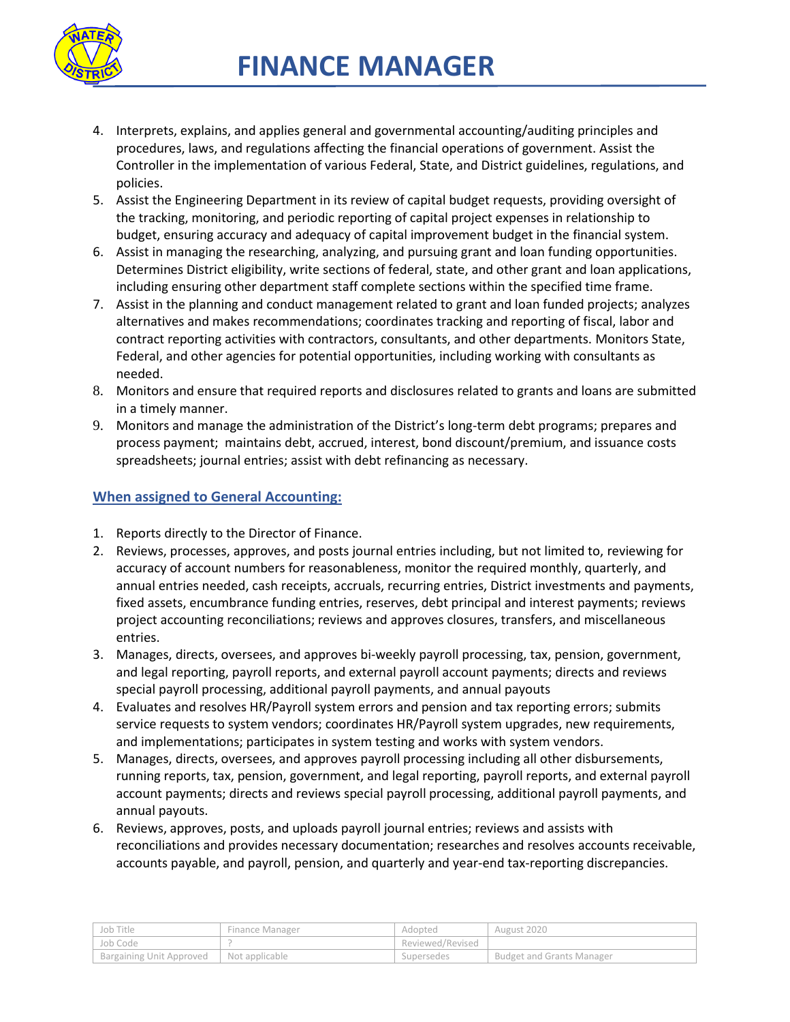

- 4. Interprets, explains, and applies general and governmental accounting/auditing principles and procedures, laws, and regulations affecting the financial operations of government. Assist the Controller in the implementation of various Federal, State, and District guidelines, regulations, and policies.
- 5. Assist the Engineering Department in its review of capital budget requests, providing oversight of the tracking, monitoring, and periodic reporting of capital project expenses in relationship to budget, ensuring accuracy and adequacy of capital improvement budget in the financial system.
- 6. Assist in managing the researching, analyzing, and pursuing grant and loan funding opportunities. Determines District eligibility, write sections of federal, state, and other grant and loan applications, including ensuring other department staff complete sections within the specified time frame.
- 7. Assist in the planning and conduct management related to grant and loan funded projects; analyzes alternatives and makes recommendations; coordinates tracking and reporting of fiscal, labor and contract reporting activities with contractors, consultants, and other departments. Monitors State, Federal, and other agencies for potential opportunities, including working with consultants as needed.
- 8. Monitors and ensure that required reports and disclosures related to grants and loans are submitted in a timely manner.
- 9. Monitors and manage the administration of the District's long-term debt programs; prepares and process payment; maintains debt, accrued, interest, bond discount/premium, and issuance costs spreadsheets; journal entries; assist with debt refinancing as necessary.

## **When assigned to General Accounting:**

- 1. Reports directly to the Director of Finance.
- 2. Reviews, processes, approves, and posts journal entries including, but not limited to, reviewing for accuracy of account numbers for reasonableness, monitor the required monthly, quarterly, and annual entries needed, cash receipts, accruals, recurring entries, District investments and payments, fixed assets, encumbrance funding entries, reserves, debt principal and interest payments; reviews project accounting reconciliations; reviews and approves closures, transfers, and miscellaneous entries.
- 3. Manages, directs, oversees, and approves bi-weekly payroll processing, tax, pension, government, and legal reporting, payroll reports, and external payroll account payments; directs and reviews special payroll processing, additional payroll payments, and annual payouts
- 4. Evaluates and resolves HR/Payroll system errors and pension and tax reporting errors; submits service requests to system vendors; coordinates HR/Payroll system upgrades, new requirements, and implementations; participates in system testing and works with system vendors.
- 5. Manages, directs, oversees, and approves payroll processing including all other disbursements, running reports, tax, pension, government, and legal reporting, payroll reports, and external payroll account payments; directs and reviews special payroll processing, additional payroll payments, and annual payouts.
- 6. Reviews, approves, posts, and uploads payroll journal entries; reviews and assists with reconciliations and provides necessary documentation; researches and resolves accounts receivable, accounts payable, and payroll, pension, and quarterly and year-end tax-reporting discrepancies.

| Job Title                | Finance Manager | Adopted          | August 2020                      |
|--------------------------|-----------------|------------------|----------------------------------|
| Job Code                 |                 | Reviewed/Revised |                                  |
| Bargaining Unit Approved | Not applicable  | Supersedes       | <b>Budget and Grants Manager</b> |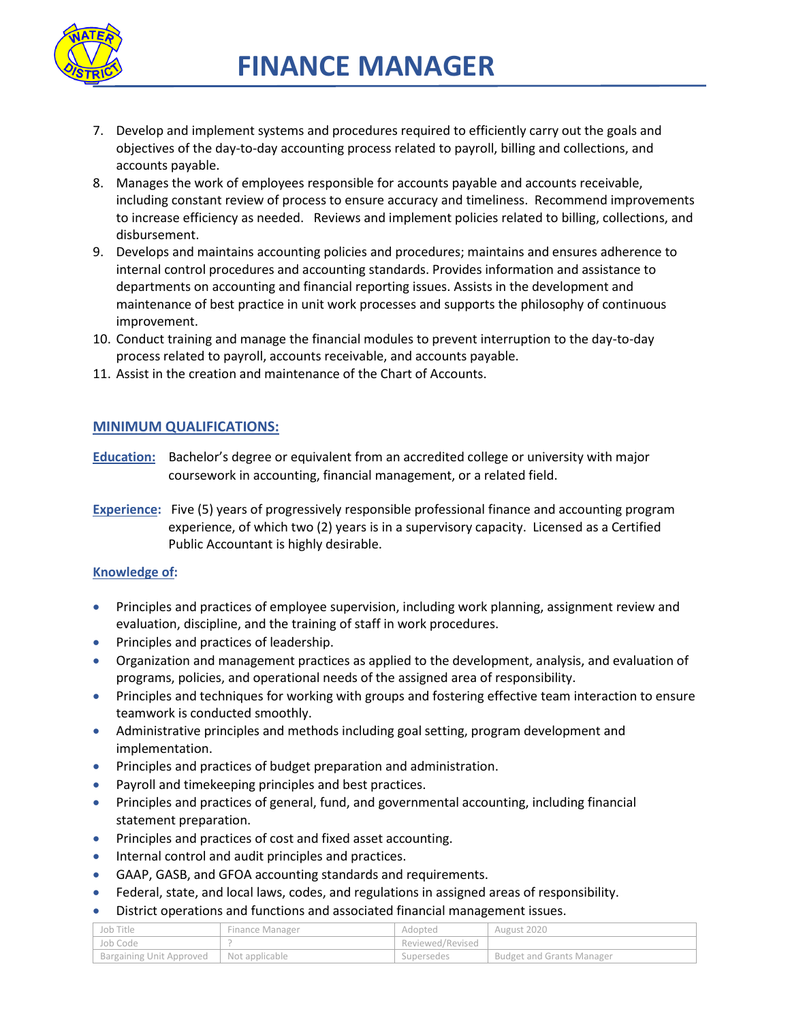

- 7. Develop and implement systems and procedures required to efficiently carry out the goals and objectives of the day-to-day accounting process related to payroll, billing and collections, and accounts payable.
- 8. Manages the work of employees responsible for accounts payable and accounts receivable, including constant review of process to ensure accuracy and timeliness. Recommend improvements to increase efficiency as needed. Reviews and implement policies related to billing, collections, and disbursement.
- 9. Develops and maintains accounting policies and procedures; maintains and ensures adherence to internal control procedures and accounting standards. Provides information and assistance to departments on accounting and financial reporting issues. Assists in the development and maintenance of best practice in unit work processes and supports the philosophy of continuous improvement.
- 10. Conduct training and manage the financial modules to prevent interruption to the day-to-day process related to payroll, accounts receivable, and accounts payable.
- 11. Assist in the creation and maintenance of the Chart of Accounts.

## **MINIMUM QUALIFICATIONS:**

- **Education:** Bachelor's degree or equivalent from an accredited college or university with major coursework in accounting, financial management, or a related field.
- **Experience:** Five (5) years of progressively responsible professional finance and accounting program experience, of which two (2) years is in a supervisory capacity. Licensed as a Certified Public Accountant is highly desirable.

#### **Knowledge of:**

- Principles and practices of employee supervision, including work planning, assignment review and evaluation, discipline, and the training of staff in work procedures.
- **•** Principles and practices of leadership.
- Organization and management practices as applied to the development, analysis, and evaluation of programs, policies, and operational needs of the assigned area of responsibility.
- Principles and techniques for working with groups and fostering effective team interaction to ensure teamwork is conducted smoothly.
- Administrative principles and methods including goal setting, program development and implementation.
- Principles and practices of budget preparation and administration.
- Payroll and timekeeping principles and best practices.
- Principles and practices of general, fund, and governmental accounting, including financial statement preparation.
- Principles and practices of cost and fixed asset accounting.
- **Internal control and audit principles and practices.**
- GAAP, GASB, and GFOA accounting standards and requirements.
- Federal, state, and local laws, codes, and regulations in assigned areas of responsibility.
- District operations and functions and associated financial management issues.

| Job Title                | Finance Manager | Adopted          | August 2020                      |
|--------------------------|-----------------|------------------|----------------------------------|
| Job Code                 |                 | Reviewed/Revised |                                  |
| Bargaining Unit Approved | Not applicable  | Supersedes       | <b>Budget and Grants Manager</b> |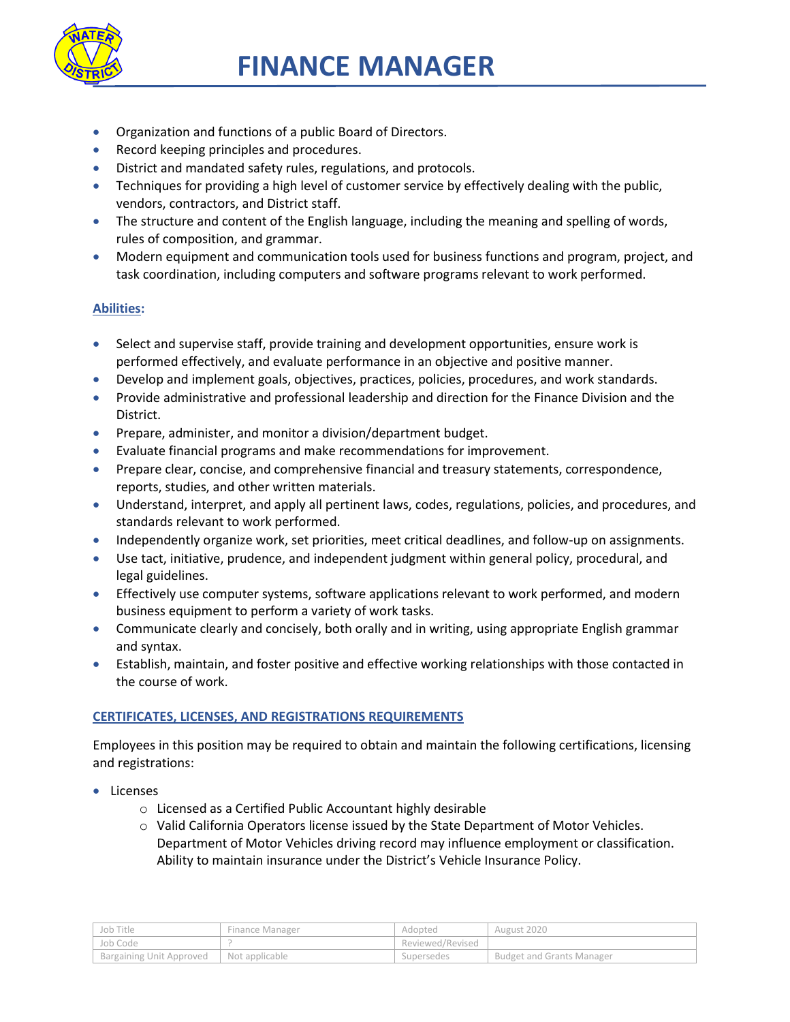

- Organization and functions of a public Board of Directors.
- Record keeping principles and procedures.
- District and mandated safety rules, regulations, and protocols.
- Techniques for providing a high level of customer service by effectively dealing with the public, vendors, contractors, and District staff.
- The structure and content of the English language, including the meaning and spelling of words, rules of composition, and grammar.
- Modern equipment and communication tools used for business functions and program, project, and task coordination, including computers and software programs relevant to work performed.

## **Abilities:**

- Select and supervise staff, provide training and development opportunities, ensure work is performed effectively, and evaluate performance in an objective and positive manner.
- Develop and implement goals, objectives, practices, policies, procedures, and work standards.
- Provide administrative and professional leadership and direction for the Finance Division and the District.
- **•** Prepare, administer, and monitor a division/department budget.
- Evaluate financial programs and make recommendations for improvement.
- **Prepare clear, concise, and comprehensive financial and treasury statements, correspondence,** reports, studies, and other written materials.
- Understand, interpret, and apply all pertinent laws, codes, regulations, policies, and procedures, and standards relevant to work performed.
- Independently organize work, set priorities, meet critical deadlines, and follow-up on assignments.
- Use tact, initiative, prudence, and independent judgment within general policy, procedural, and legal guidelines.
- Effectively use computer systems, software applications relevant to work performed, and modern business equipment to perform a variety of work tasks.
- Communicate clearly and concisely, both orally and in writing, using appropriate English grammar and syntax.
- Establish, maintain, and foster positive and effective working relationships with those contacted in the course of work.

## **CERTIFICATES, LICENSES, AND REGISTRATIONS REQUIREMENTS**

Employees in this position may be required to obtain and maintain the following certifications, licensing and registrations:

- **•** Licenses
	- o Licensed as a Certified Public Accountant highly desirable
	- $\circ$  Valid California Operators license issued by the State Department of Motor Vehicles. Department of Motor Vehicles driving record may influence employment or classification. Ability to maintain insurance under the District's Vehicle Insurance Policy.

| Job Title                | Finance Manager  | Adopted          | August 2020                      |
|--------------------------|------------------|------------------|----------------------------------|
| Job Code                 |                  | Reviewed/Revised |                                  |
| Bargaining Unit Approved | I Not applicable | Supersedes       | <b>Budget and Grants Manager</b> |